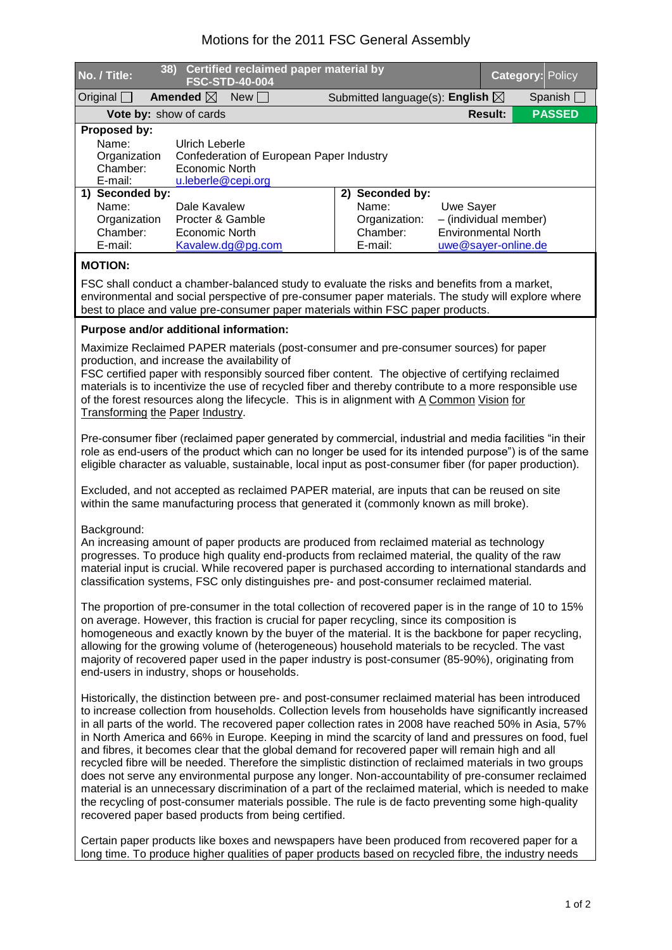## Motions for the 2011 FSC General Assembly

| No. / Title:                                                                                                   | 38)                        | Certified reclaimed paper material by<br><b>FSC-STD-40-004</b> |                   |              |  |                                            |                            | <b>Category: Policy</b> |  |                   |  |
|----------------------------------------------------------------------------------------------------------------|----------------------------|----------------------------------------------------------------|-------------------|--------------|--|--------------------------------------------|----------------------------|-------------------------|--|-------------------|--|
| $O$ riginal $\Box$                                                                                             |                            | Amended $\boxtimes$                                            | New               |              |  | Submitted language(s): English $\boxtimes$ |                            |                         |  | Spanish $\square$ |  |
| Vote by: show of cards                                                                                         |                            |                                                                |                   |              |  |                                            |                            | <b>Result:</b>          |  | <b>PASSED</b>     |  |
| Proposed by:                                                                                                   |                            |                                                                |                   |              |  |                                            |                            |                         |  |                   |  |
| Name:                                                                                                          | Ulrich Leberle             |                                                                |                   |              |  |                                            |                            |                         |  |                   |  |
| Organization                                                                                                   |                            | Confederation of European Paper Industry                       |                   |              |  |                                            |                            |                         |  |                   |  |
|                                                                                                                | Chamber:<br>Economic North |                                                                |                   |              |  |                                            |                            |                         |  |                   |  |
| E-mail:                                                                                                        |                            | u.leberle@cepi.org                                             |                   |              |  |                                            |                            |                         |  |                   |  |
| 1) Seconded by:                                                                                                |                            |                                                                | 2)                | Seconded by: |  |                                            |                            |                         |  |                   |  |
| Name:                                                                                                          |                            | Dale Kavalew                                                   |                   |              |  | Name:                                      | Uwe Sayer                  |                         |  |                   |  |
| Organization                                                                                                   |                            | Procter & Gamble                                               |                   |              |  | Organization:                              | - (individual member)      |                         |  |                   |  |
| Chamber:                                                                                                       |                            | Economic North                                                 |                   |              |  | Chamber:                                   | <b>Environmental North</b> |                         |  |                   |  |
| E-mail:                                                                                                        |                            |                                                                | Kavalew.dg@pg.com |              |  | E-mail:                                    | uwe@sayer-online.de        |                         |  |                   |  |
| <b>MOTION:</b><br>FSC shall conduct a chamber-balanced study to evaluate the risks and benefits from a market, |                            |                                                                |                   |              |  |                                            |                            |                         |  |                   |  |
|                                                                                                                |                            |                                                                |                   |              |  |                                            |                            |                         |  |                   |  |

environmental and social perspective of pre-consumer paper materials. The study will explore where best to place and value pre-consumer paper materials within FSC paper products.

## **Purpose and/or additional information:**

Maximize Reclaimed PAPER materials (post-consumer and pre-consumer sources) for paper production, and increase the availability of

FSC certified paper with responsibly sourced fiber content. The objective of certifying reclaimed materials is to incentivize the use of recycled fiber and thereby contribute to a more responsible use of the forest resources along the lifecycle. This is in alignment with A Common Vision for Transforming the Paper Industry.

Pre-consumer fiber (reclaimed paper generated by commercial, industrial and media facilities "in their role as end-users of the product which can no longer be used for its intended purpose") is of the same eligible character as valuable, sustainable, local input as post-consumer fiber (for paper production).

Excluded, and not accepted as reclaimed PAPER material, are inputs that can be reused on site within the same manufacturing process that generated it (commonly known as mill broke).

## Background:

An increasing amount of paper products are produced from reclaimed material as technology progresses. To produce high quality end-products from reclaimed material, the quality of the raw material input is crucial. While recovered paper is purchased according to international standards and classification systems, FSC only distinguishes pre- and post-consumer reclaimed material.

The proportion of pre-consumer in the total collection of recovered paper is in the range of 10 to 15% on average. However, this fraction is crucial for paper recycling, since its composition is homogeneous and exactly known by the buyer of the material. It is the backbone for paper recycling, allowing for the growing volume of (heterogeneous) household materials to be recycled. The vast majority of recovered paper used in the paper industry is post-consumer (85-90%), originating from end-users in industry, shops or households.

Historically, the distinction between pre- and post-consumer reclaimed material has been introduced to increase collection from households. Collection levels from households have significantly increased in all parts of the world. The recovered paper collection rates in 2008 have reached 50% in Asia, 57% in North America and 66% in Europe. Keeping in mind the scarcity of land and pressures on food, fuel and fibres, it becomes clear that the global demand for recovered paper will remain high and all recycled fibre will be needed. Therefore the simplistic distinction of reclaimed materials in two groups does not serve any environmental purpose any longer. Non-accountability of pre-consumer reclaimed material is an unnecessary discrimination of a part of the reclaimed material, which is needed to make the recycling of post-consumer materials possible. The rule is de facto preventing some high-quality recovered paper based products from being certified.

Certain paper products like boxes and newspapers have been produced from recovered paper for a long time. To produce higher qualities of paper products based on recycled fibre, the industry needs